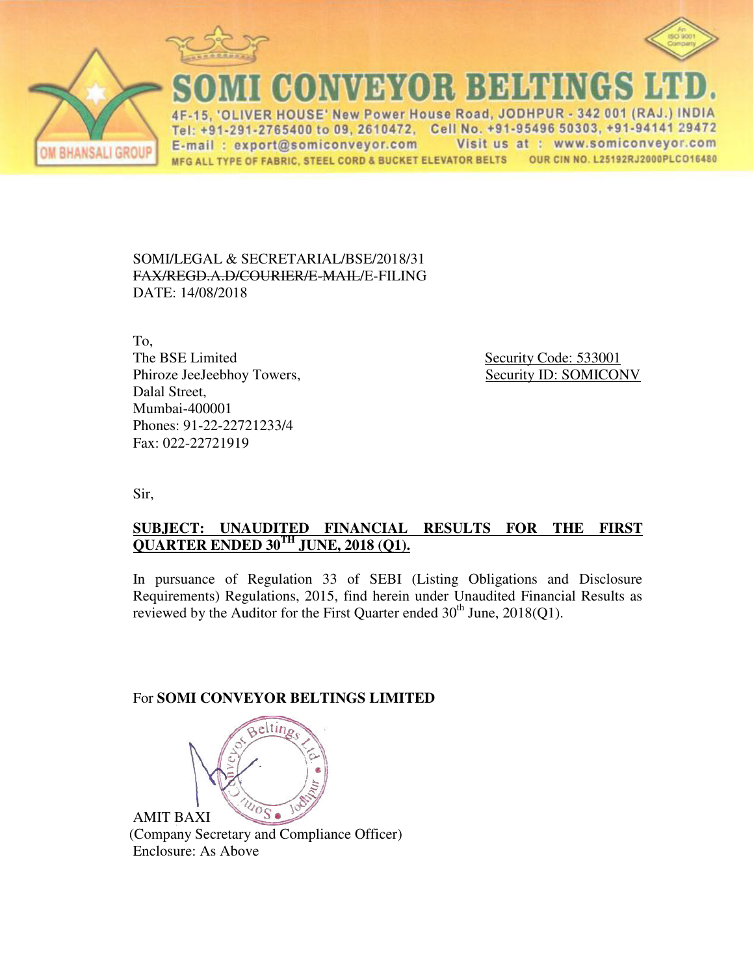



CONVEYOR BELTINGS I

ER HOUSE' New Power House Road, JODHPUR - 342 001 (RAJ.) INDIA Tel: +91-291-2765400 to 09, 2610472, Cell No. +91-95496 50303, +91-94141 29472 Visit us at : www.somiconveyor.com E-mail: export@somiconveyor.com OUR CIN NO. L25192RJ2000PLCO16480 MFG ALL TYPE OF FABRIC, STEEL CORD & BUCKET ELEVATOR BELTS

### SOMI/LEGAL & SECRETARIAL/BSE/2018/31 FAX/REGD.A.D/COURIER/E-MAIL/E-FILING DATE: 14/08/2018

To, The BSE Limited Security Code: 533001 Phiroze JeeJeebhoy Towers, Security ID: SOMICONV Dalal Street, Mumbai-400001 Phones: 91-22-22721233/4 Fax: 022-22721919

Sir,

## **SUBJECT: UNAUDITED FINANCIAL RESULTS FOR THE FIRST QUARTER ENDED 30TH JUNE, 2018 (Q1).**

In pursuance of Regulation 33 of SEBI (Listing Obligations and Disclosure Requirements) Regulations, 2015, find herein under Unaudited Financial Results as reviewed by the Auditor for the First Quarter ended  $30<sup>th</sup>$  June, 2018(Q1).

## For **SOMI CONVEYOR BELTINGS LIMITED**



 (Company Secretary and Compliance Officer) Enclosure: As Above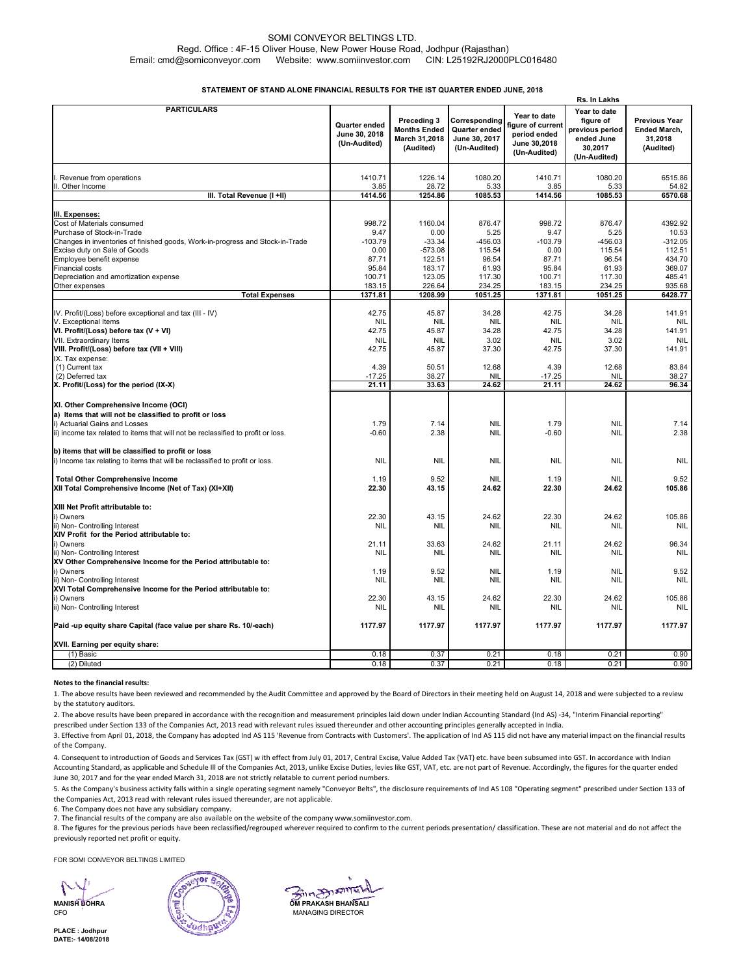#### SOMI CONVEYOR BELTINGS LTD. Regd. Office : 4F-15 Oliver House, New Power House Road, Jodhpur (Rajasthan) Email: cmd@somiconveyor.com Website: www.somiinvestor.com CIN: L25192RJ2000PLC016480

#### **STATEMENT OF STAND ALONE FINANCIAL RESULTS FOR THE IST QUARTER ENDED JUNE, 2018**

|                                                                                                |                                                | Rs. In Lakhs                                                     |                                                                 |                                                                                  |                                                                                       |                                                              |  |
|------------------------------------------------------------------------------------------------|------------------------------------------------|------------------------------------------------------------------|-----------------------------------------------------------------|----------------------------------------------------------------------------------|---------------------------------------------------------------------------------------|--------------------------------------------------------------|--|
| <b>PARTICULARS</b>                                                                             | Quarter ended<br>June 30, 2018<br>(Un-Audited) | Preceding 3<br><b>Months Ended</b><br>March 31,2018<br>(Audited) | Corresponding<br>Quarter ended<br>June 30, 2017<br>(Un-Audited) | Year to date<br>igure of current<br>period ended<br>June 30,2018<br>(Un-Audited) | Year to date<br>figure of<br>previous period<br>ended June<br>30,2017<br>(Un-Audited) | <b>Previous Year</b><br>Ended March,<br>31,2018<br>(Audited) |  |
| Revenue from operations                                                                        | 1410.71                                        | 1226.14                                                          | 1080.20                                                         | 1410.71                                                                          | 1080.20                                                                               | 6515.86                                                      |  |
| I. Other Income                                                                                | 3.85                                           | 28.72                                                            | 5.33                                                            | 3.85                                                                             | 5.33                                                                                  | 54.82                                                        |  |
| III. Total Revenue (I +II)                                                                     | 1414.56                                        | 1254.86                                                          | 1085.53                                                         | 1414.56                                                                          | 1085.53                                                                               | 6570.68                                                      |  |
|                                                                                                |                                                |                                                                  |                                                                 |                                                                                  |                                                                                       |                                                              |  |
| III. Expenses:                                                                                 |                                                |                                                                  |                                                                 |                                                                                  |                                                                                       |                                                              |  |
| Cost of Materials consumed<br>Purchase of Stock-in-Trade                                       | 998.72<br>9.47                                 | 1160.04<br>0.00                                                  | 876.47<br>5.25                                                  | 998.72<br>9.47                                                                   | 876.47<br>5.25                                                                        | 4392.92<br>10.53                                             |  |
| Changes in inventories of finished goods, Work-in-progress and Stock-in-Trade                  | $-103.79$                                      | $-33.34$                                                         | $-456.03$                                                       | $-103.79$                                                                        | $-456.03$                                                                             | $-312.05$                                                    |  |
| Excise duty on Sale of Goods                                                                   | 0.00                                           | $-573.08$                                                        | 115.54                                                          | 0.00                                                                             | 115.54                                                                                | 112.51                                                       |  |
| Employee benefit expense                                                                       | 87.71                                          | 122.51                                                           | 96.54                                                           | 87.71                                                                            | 96.54                                                                                 | 434.70                                                       |  |
| Financial costs                                                                                | 95.84                                          | 183.17                                                           | 61.93                                                           | 95.84                                                                            | 61.93                                                                                 | 369.07                                                       |  |
| Depreciation and amortization expense                                                          | 100.71                                         | 123.05                                                           | 117.30                                                          | 100.71                                                                           | 117.30                                                                                | 485.41                                                       |  |
| Other expenses                                                                                 | 183.15                                         | 226.64                                                           | 234.25                                                          | 183.15                                                                           | 234.25                                                                                | 935.68                                                       |  |
| <b>Total Expenses</b>                                                                          | 1371.81                                        | 1208.99                                                          | 1051.25                                                         | 1371.81                                                                          | 1051.25                                                                               | 6428.77                                                      |  |
|                                                                                                |                                                |                                                                  |                                                                 |                                                                                  |                                                                                       |                                                              |  |
| IV. Profit/(Loss) before exceptional and tax (III - IV)                                        | 42.75                                          | 45.87                                                            | 34.28                                                           | 42.75                                                                            | 34.28                                                                                 | 141.91                                                       |  |
| V. Exceptional Items                                                                           | <b>NIL</b>                                     | <b>NIL</b>                                                       | <b>NIL</b>                                                      | <b>NIL</b>                                                                       | <b>NIL</b>                                                                            | <b>NIL</b>                                                   |  |
| VI. Profit/(Loss) before tax (V + VI)                                                          | 42.75                                          | 45.87                                                            | 34.28                                                           | 42.75                                                                            | 34.28                                                                                 | 141.91                                                       |  |
| VII. Extraordinary Items                                                                       | <b>NIL</b>                                     | <b>NIL</b>                                                       | 3.02                                                            | <b>NIL</b>                                                                       | 3.02                                                                                  | <b>NIL</b>                                                   |  |
| VIII. Profit/(Loss) before tax (VII + VIII)                                                    | 42.75                                          | 45.87                                                            | 37.30                                                           | 42.75                                                                            | 37.30                                                                                 | 141.91                                                       |  |
| IX. Tax expense:                                                                               |                                                |                                                                  |                                                                 |                                                                                  |                                                                                       |                                                              |  |
| (1) Current tax                                                                                | 4.39                                           | 50.51                                                            | 12.68                                                           | 4.39                                                                             | 12.68                                                                                 | 83.84                                                        |  |
| (2) Deferred tax                                                                               | $-17.25$                                       | 38.27                                                            | <b>NIL</b>                                                      | $-17.25$                                                                         | <b>NIL</b>                                                                            | 38.27                                                        |  |
| X. Profit/(Loss) for the period (IX-X)                                                         | 21.11                                          | 33.63                                                            | 24.62                                                           | 21.11                                                                            | 24.62                                                                                 | 96.34                                                        |  |
| XI. Other Comprehensive Income (OCI)<br>a) Items that will not be classified to profit or loss |                                                |                                                                  |                                                                 |                                                                                  |                                                                                       |                                                              |  |
| i) Actuarial Gains and Losses                                                                  | 1.79                                           | 7.14                                                             | <b>NIL</b>                                                      | 1.79                                                                             | <b>NIL</b>                                                                            | 7.14                                                         |  |
| ii) income tax related to items that will not be reclassified to profit or loss.               | $-0.60$                                        | 2.38                                                             | <b>NIL</b>                                                      | $-0.60$                                                                          | <b>NIL</b>                                                                            | 2.38                                                         |  |
|                                                                                                |                                                |                                                                  |                                                                 |                                                                                  |                                                                                       |                                                              |  |
| b) items that will be classified to profit or loss                                             |                                                |                                                                  |                                                                 |                                                                                  |                                                                                       |                                                              |  |
| i) Income tax relating to items that will be reclassified to profit or loss.                   | <b>NIL</b>                                     | <b>NIL</b>                                                       | <b>NIL</b>                                                      | <b>NIL</b>                                                                       | <b>NIL</b>                                                                            | <b>NIL</b>                                                   |  |
| <b>Total Other Comprehensive Income</b>                                                        | 1.19                                           | 9.52                                                             | <b>NIL</b>                                                      | 1.19                                                                             | <b>NIL</b>                                                                            | 9.52                                                         |  |
| XII Total Comprehensive Income (Net of Tax) (XI+XII)                                           | 22.30                                          | 43.15                                                            | 24.62                                                           | 22.30                                                                            | 24.62                                                                                 | 105.86                                                       |  |
|                                                                                                |                                                |                                                                  |                                                                 |                                                                                  |                                                                                       |                                                              |  |
| XIII Net Profit attributable to:                                                               |                                                |                                                                  |                                                                 |                                                                                  |                                                                                       |                                                              |  |
| i) Owners                                                                                      | 22.30                                          | 43.15                                                            | 24.62                                                           | 22.30                                                                            | 24.62                                                                                 | 105.86                                                       |  |
| ii) Non- Controlling Interest                                                                  | <b>NIL</b>                                     | <b>NIL</b>                                                       | <b>NIL</b>                                                      | <b>NIL</b>                                                                       | <b>NIL</b>                                                                            | <b>NIL</b>                                                   |  |
| XIV Profit for the Period attributable to:                                                     |                                                |                                                                  |                                                                 |                                                                                  |                                                                                       |                                                              |  |
| i) Owners                                                                                      | 21.11                                          | 33.63                                                            | 24.62                                                           | 21.11                                                                            | 24.62                                                                                 | 96.34                                                        |  |
| ii) Non- Controlling Interest                                                                  | <b>NIL</b>                                     | <b>NIL</b>                                                       | <b>NIL</b>                                                      | <b>NIL</b>                                                                       | <b>NIL</b>                                                                            | <b>NIL</b>                                                   |  |
| XV Other Comprehensive Income for the Period attributable to:                                  |                                                |                                                                  |                                                                 |                                                                                  |                                                                                       |                                                              |  |
| i) Owners                                                                                      | 1.19                                           | 9.52                                                             | <b>NIL</b>                                                      | 1.19                                                                             | <b>NIL</b>                                                                            | 9.52                                                         |  |
| ii) Non- Controlling Interest                                                                  | <b>NIL</b>                                     | <b>NIL</b>                                                       | <b>NIL</b>                                                      | <b>NIL</b>                                                                       | <b>NIL</b>                                                                            | <b>NIL</b>                                                   |  |
| XVI Total Comprehensive Income for the Period attributable to:                                 |                                                |                                                                  |                                                                 |                                                                                  |                                                                                       |                                                              |  |
| i) Owners                                                                                      | 22.30                                          | 43.15                                                            | 24.62                                                           | 22.30                                                                            | 24.62                                                                                 | 105.86                                                       |  |
| ii) Non- Controlling Interest                                                                  | <b>NIL</b>                                     | <b>NIL</b>                                                       | <b>NIL</b>                                                      | <b>NIL</b>                                                                       | <b>NIL</b>                                                                            | <b>NIL</b>                                                   |  |
| Paid -up equity share Capital (face value per share Rs. 10/-each)                              | 1177.97                                        | 1177.97                                                          | 1177.97                                                         | 1177.97                                                                          | 1177.97                                                                               | 1177.97                                                      |  |
| XVII. Earning per equity share:                                                                |                                                |                                                                  |                                                                 |                                                                                  |                                                                                       |                                                              |  |
| (1) Basic                                                                                      | 0.18                                           | 0.37                                                             | 0.21                                                            | 0.18                                                                             | 0.21                                                                                  | 0.90                                                         |  |
| (2) Diluted                                                                                    | 0.18                                           | 0.37                                                             | 0.21                                                            | 0.18                                                                             | 0.21                                                                                  | 0.90                                                         |  |

#### **Notes to the financial results:**

1. The above results have been reviewed and recommended by the Audit Committee and approved by the Board of Directors in their meeting held on August 14, 2018 and were subjected to a review by the statutory auditors.

2. The above results have been prepared in accordance with the recognition and measurement principles laid down under Indian Accounting Standard {Ind AS) -34, "Interim Financial reporting" prescribed under Section 133 of the Companies Act, 2013 read with relevant rules issued thereunder and other accounting principles generally accepted in India.

3. Effective from April 01, 2018, the Company has adopted Ind AS 115 'Revenue from Contracts with Customers'. The application of Ind AS 115 did not have any material impact on the financial results of the Company.

4. Consequent to introduction of Goods and Services Tax (GST) w ith effect from July 01, 2017, Central Excise, Value Added Tax {VAT) etc. have been subsumed into GST. In accordance with Indian Accounting Standard, as applicable and Schedule Ill of the Companies Act, 2013, unlike Excise Duties, levies like GST, VAT, etc. are not part of Revenue. Accordingly, the figures for the quarter ended June 30, 2017 and for the year ended March 31, 2018 are not strictly relatable to current period numbers.

5. As the Company's business activity falls within a single operating segment namely "Conveyor Belts", the disclosure requirements of Ind AS 108 "Operating segment" prescribed under Section 133 of the Companies Act, 2013 read with relevant rules issued thereunder, are not applicable.

6. The Company does not have any subsidiary company.

7. The financial results of the company are also available on the website of the company www.somiinvestor.com.

8. The figures for the previous periods have been reclassified/regrouped wherever required to confirm to the current periods presentation/ classification. These are not material and do not affect the previously reported net profit or equity.

FOR SOMI CONVEYOR BELTINGS LIMITED

**PLACE : Jodhpur DATE:- 14/08/2018**

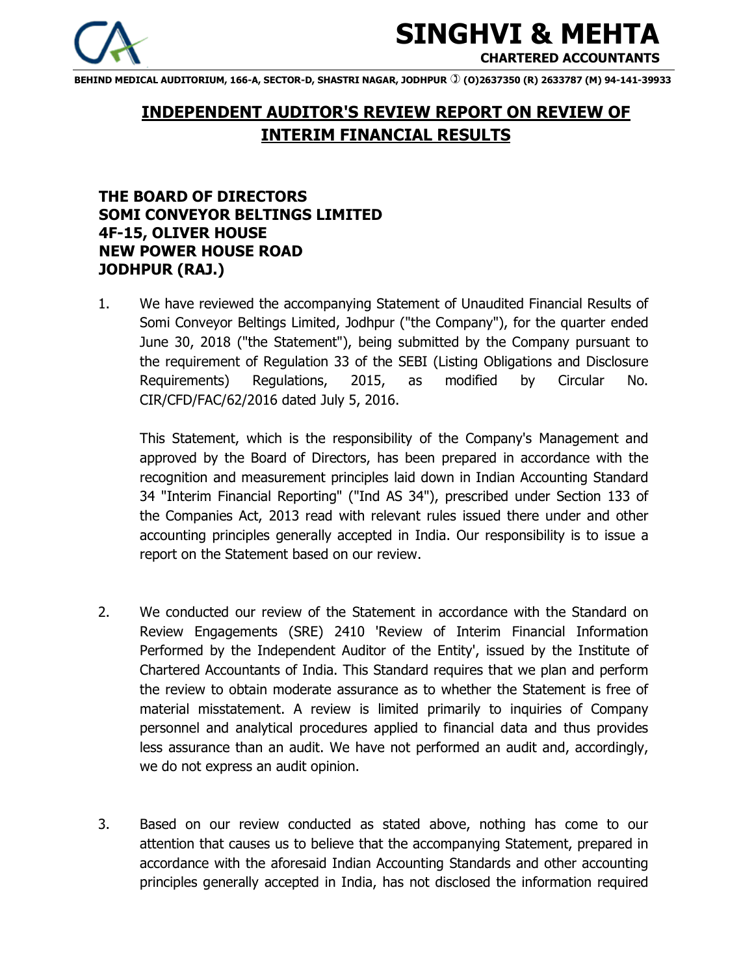

# **SINGHVI & MEHTA**

 **CHARTERED ACCOUNTANTS**

**BEHIND MEDICAL AUDITORIUM, 166-A, SECTOR-D, SHASTRI NAGAR, JODHPUR (O)2637350 (R) 2633787 (M) 94-141-39933** 

## **INDEPENDENT AUDITOR'S REVIEW REPORT ON REVIEW OF INTERIM FINANCIAL RESULTS**

## **THE BOARD OF DIRECTORS SOMI CONVEYOR BELTINGS LIMITED 4F-15, OLIVER HOUSE NEW POWER HOUSE ROAD JODHPUR (RAJ.)**

1. We have reviewed the accompanying Statement of Unaudited Financial Results of Somi Conveyor Beltings Limited, Jodhpur ("the Company"), for the quarter ended June 30, 2018 ("the Statement"), being submitted by the Company pursuant to the requirement of Regulation 33 of the SEBI (Listing Obligations and Disclosure Requirements) Regulations, 2015, as modified by Circular No. CIR/CFD/FAC/62/2016 dated July 5, 2016.

This Statement, which is the responsibility of the Company's Management and approved by the Board of Directors, has been prepared in accordance with the recognition and measurement principles laid down in Indian Accounting Standard 34 "Interim Financial Reporting" ("Ind AS 34"), prescribed under Section 133 of the Companies Act, 2013 read with relevant rules issued there under and other accounting principles generally accepted in India. Our responsibility is to issue a report on the Statement based on our review.

- 2. We conducted our review of the Statement in accordance with the Standard on Review Engagements (SRE) 2410 'Review of Interim Financial Information Performed by the Independent Auditor of the Entity', issued by the Institute of Chartered Accountants of India. This Standard requires that we plan and perform the review to obtain moderate assurance as to whether the Statement is free of material misstatement. A review is limited primarily to inquiries of Company personnel and analytical procedures applied to financial data and thus provides less assurance than an audit. We have not performed an audit and, accordingly, we do not express an audit opinion.
- 3. Based on our review conducted as stated above, nothing has come to our attention that causes us to believe that the accompanying Statement, prepared in accordance with the aforesaid Indian Accounting Standards and other accounting principles generally accepted in India, has not disclosed the information required